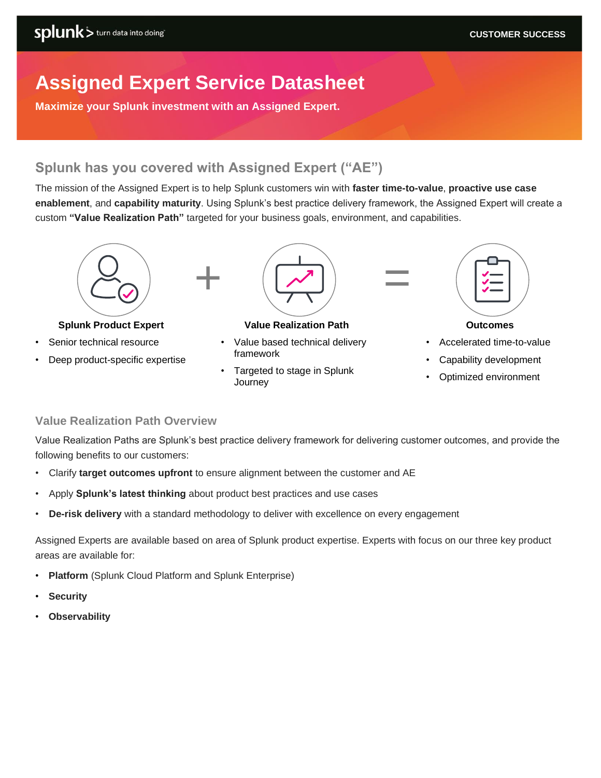# **Assigned Expert Service Datasheet**

**Maximize your Splunk investment with an Assigned Expert.** 

### **Splunk has you covered with Assigned Expert ("AE")**

The mission of the Assigned Expert is to help Splunk customers win with **faster time-to-value**, **proactive use case enablement**, and **capability maturity**. Using Splunk's best practice delivery framework, the Assigned Expert will create a custom **"Value Realization Path"** targeted for your business goals, environment, and capabilities.



### **Splunk Product Expert**

- Senior technical resource
- Deep product-specific expertise



### **Value Realization Path**

- Value based technical delivery framework
- Targeted to stage in Splunk **Journey**



#### **Outcomes**

- Accelerated time-to-value
- Capability development
- Optimized environment

### **Value Realization Path Overview**

Value Realization Paths are Splunk's best practice delivery framework for delivering customer outcomes, and provide the following benefits to our customers:

- Clarify **target outcomes upfront** to ensure alignment between the customer and AE
- Apply **Splunk's latest thinking** about product best practices and use cases
- **De-risk delivery** with a standard methodology to deliver with excellence on every engagement

Assigned Experts are available based on area of Splunk product expertise. Experts with focus on our three key product areas are available for:

- **Platform** (Splunk Cloud Platform and Splunk Enterprise)
- **Security**
- **Observability**